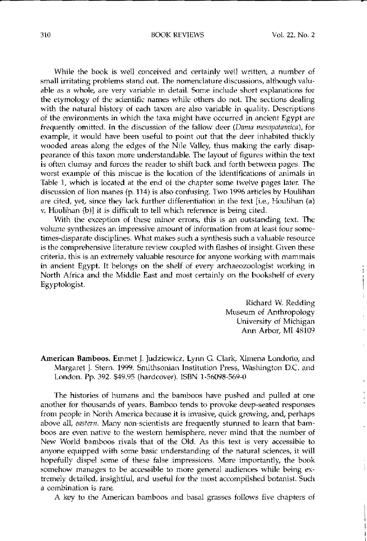## 310 BOOK REVIEWS Vol. 22, No. 2

**•**

i  $\begin{tabular}{lllllllllll} \toprule \small{0.2cm}{0.04cm} \multicolumn{2}{c|}{\hspace{-2.5ex}\textbf{1}} & \multicolumn{2}{c|}{\hspace{-2.5ex}\textbf{1}} \\ \multicolumn{2}{c|}{\hspace{-2.5ex}\textbf{1}} & \multicolumn{2}{c|}{\hspace{-2.5ex}\textbf{1}} & \multicolumn{2}{c|}{\hspace{-2.5ex}\textbf{1}} & \multicolumn{2}{c|}{\hspace{-2.5ex}\textbf{1}} \\ \multicolumn{2}{c|}{\hspace{-2.5ex}\textbf{1}} & \multicolumn{2}{c|}{\hspace{-2$ 

While the book is well conceived and certainly well written, a number of small irritating problems stand out. The nomenclature discussions, although valuable as a whole, are very variable in detail. Some include short explanations for the etymology of the scientific names while others do not. The sections dealing with the natural history of each taxon are also variable in quality. Descriptions of the environments in which the taxa might have occurred in ancient Egypt are frequently omitted. In the discussion of the fallow deer (Dama mesopotamica), for example, it would have been useful to point out that the deer inhabited thickly wooded areas along the edges of the Nile Valley, thus making the early disappearance of this taxon more understandable. The layout of figures within the text is often clumsy and forces the reader to shift back and forth between pages. The worst example of this miscue is the location of the identifications of animals in Table 1, which is located at the end of the chapter some twelve pages later. The discussion of lion manes (p. 114) is also confusing. Two 1996 articles by Houlihan are cited, yet, since they lack further differentiation in the text [i.e., Houlihan  $(a)$ *v.* Houlihan (b)] it is difficult to tell which reference is being cited.

With the exception of these minor errors, this is an outstanding text. The volume **synthesizes an impressive amount of information from at least fOUf some**times-disparate disciplines. What makes such a synthesis such a valuable resource is the comprehensive literature review coupled with flashes of insight. Given these criteria, this is an extremely valuable resource for anyone working with mammals in ancient Egypt. It belongs on the shelf of every archaeozoologist working in North Africa and the Middle East and most certainly on the bookshelf of ewry Egyptologist.

> Richard W. Redding Museum of Anthropology University of Michigan Ann Arbor, MI 48109

American Bamboos. Emmet J. Judziewicz, Lynn G. Clark, Ximena Londono, and Margaret J. Stern, 1999. Smithsonian Institution Press, Washington D.C. and London. pp. 392. \$49.95 (hardcover). ISBN 1-56098-569-0

The histories of humans and the bamboos have pushed and pulled at one another for thousands of years. Bamboo tends to provoke deep-seated responses from people in North America because it is invasive, quick growing, and, perhaps above all, *eastern.* Many non-scientists are frequently stunned to learn that bamboos are even native to the western hemisphere, never mind that the number of New World bamboos rivals that of the Old, As this text is very accessible to anyone equipped with some basic understanding of the natural sciences, it will hopefully dispel some of these false impressions. More importantly, the book somehow manages to be accessible to more general audiences while being extremely detailed, insightful, and useful for the most accomplished botanist. Such **a combination is rare,**

A key to the American bamboos and basal grasses follows five chapters of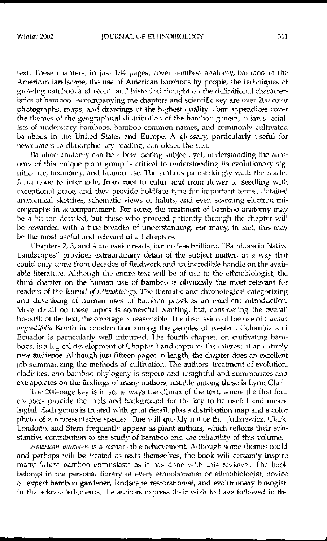text. These chapters, in just 134 pages, cover bamboo anatomy, bamboo in the American landscape, the use of American bamboos by people, the techniques of growing bamboo, and recent and historical thought on the definitional characteristics of bamboo. Accompanying the chapters and scientific key are over 200 color photographs, maps, and drawings of the highest quality. Four appendices cover the themes of the geographical distribution of the bamboo genera, avian special**ists of understory bamboos, bamboo common names, and commonly cultivated** bamboos in the United States and Europe. A glossary, particularly useful for newcomers to dimorphic key reading, completes the text.

Bamboo anatomy can be a bewildering subject; yet, understanding the anatomy of this unique plant group is critical to understanding its evolutionary significance, taxonomy, and human use. The authors painstakingly walk the reader **from node to internode, from root to culm, and from flower to seedling with** exceptional grace, and they provide boldface type for important terms, detailed anatomical sketches, schematic views of habits, and even scanning electron micrographs in accompaniment. For some, the treatment of bamboo anatomy may be a bit too detailed, but those who proceed patiently through the chapter will be rewarded with a true breadth of understanding. For many, in fact, this may be the most useful and relevant of all chapters.

Chapters 2, 3, and 4 are easier reads, but no less brilliant. "Bamboos in Native Landscapes" provides extraordinary detail of the subject matter, in a way that could onlv come from decades of fieldwork and an incredible handle on the available literature. Although the entire text will be of use to the ethnobiologist, the third chapter on the human use of bamboo is obviously the most relevant for readers of the *Journal of Ethnobiology*. The thematic and chronological categorizing and describing of human uses of bamboo provides an excellent introduction. More detail on these topics is somewhat wanting, but, considering the overall breadth of the text, the coverage is reasonable. The discussion of the use of *Cuadua* angustifolia Kunth in construction among the peoples of western Colombia and Ecuador is particularly well informed. The fourth chapter, on cultivating bamboos, is a logical development of Chapter 3 and captures the interest of an entirely new audience. Although just fifteen pages in length, the chapter does an excellent job summarizing the methods of cultivation. The authors' treatment of evolution, cladistics. and bamboo phylogeny is superb and insightful and summarizes and extrapolates on the findings of many authors; notable among these is Lynn Clark.

The 20o-page key is in some ways the climax of the text, where the first four chapters provide the tools and background for the key to be useful and meaningful. Each genus is treated with great detail, plus a distribution map and a color photo of a representative species. One will quickly notice that Judziewicz, Clark, Londoño, and Stern frequently appear as plant authors, which reflects their substantive contribution to the study of bamboo and the reliability of this volume.

*American Bamboos* is a remarkable achievement. Although some themes could and perhaps will be treated as texts themselves. the book will certainly inspire many future bamboo enthusiasts as it has done with this reviewer. The book belongs in the personal library of every ethnobotanist or ethnobiologist, novice or expert bamboo gardener. landscape restorationist, and evolutionary biologist. In the acknowledgments, the authors express their wish to have followed in the